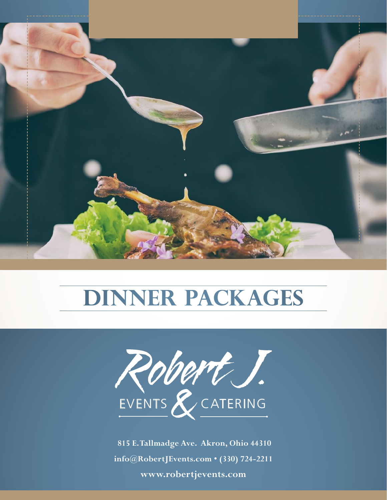



# **DINNER PACKAGES**



 **815 E. Tallmadge Ave. Akron, Ohio 44310 info@RobertJEvents.com • (330) 724-2211 www.robertjevents.com**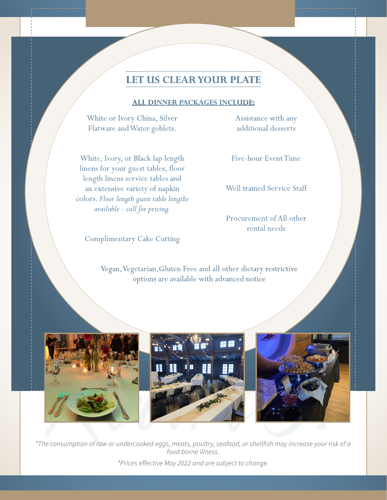# **LET US CLEAR YOUR PLATE**

#### **ALL DINNER PACKAGES INCLUDE:**

White or Ivory China, Silver Flatware and Water goblets.

White, Ivory, or Black lap length linens for your guest tables, floor length linens service tables and an extensive variety of napkin colors. *Floor length guest table lengths available - call for pricing.*

Complimentary Cake Cutting

Assistance with any additional desserts

Five-hour Event Time

Well trained Service Staff

Procurement of All other rental needs

Vegan, Vegetarian,Gluten Free and all other dietary restrictive options are available with advanced notice



onsumption of raw or undercooked eggs, meats, poultry, seafood, or shellfish may increase your r<br>food borne illness.<br>\*Prices effective May 2022 and are subject to change.<br>\*Prices effective May 2022 and are subject to chang *\*The consumption of raw or undercooked eggs, meats, poultry, seafood, or shellfish may increase your risk of a food borne illness. \*Prices effective May 2022 and are subject to change.*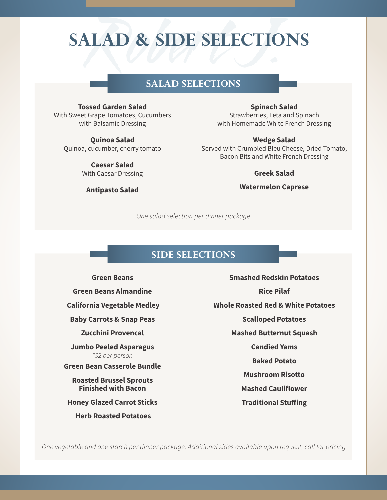# **SALAD & SIDE SELECTIONS**

# **SALAD SELECTIONS**

SALAD SELECTIONS<br>
Sed Garden Salad<br>
Spinach<br>
Strang Tomatoes Cucumbers<br>
Strang Tomatoes Cucumbers<br>
Strang Tomatoes Cucumbers **Tossed Garden Salad** With Sweet Grape Tomatoes, Cucumbers with Balsamic Dressing

**Quinoa Salad** Quinoa, cucumber, cherry tomato

> **Caesar Salad** With Caesar Dressing

**Antipasto Salad** 

**Spinach Salad** Strawberries, Feta and Spinach with Homemade White French Dressing

#### **Wedge Salad**

Served with Crumbled Bleu Cheese, Dried Tomato, Bacon Bits and White French Dressing

#### **Greek Salad**

**Watermelon Caprese**

*One salad selection per dinner package*

### **SIDE SELECTIONS**

**Green Beans Green Beans Almandine California Vegetable Medley Baby Carrots & Snap Peas Zucchini Provencal Jumbo Peeled Asparagus** *\*\$2 per person* **Green Bean Casserole Bundle**

**Roasted Brussel Sprouts Finished with Bacon**

**Honey Glazed Carrot Sticks**

 **Herb Roasted Potatoes**

**Smashed Redskin Potatoes Rice Pilaf Whole Roasted Red & White Potatoes Scalloped Potatoes Mashed Butternut Squash Candied Yams Baked Potato Mushroom Risotto Mashed Cauliflower**

**Traditional Stuffing**

*One vegetable and one starch per dinner package. Additional sides available upon request, call for pricing*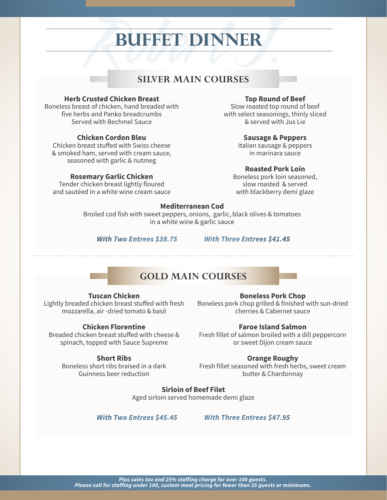# **BUFFET DINNER**

### **SILVER MAIN COURSES**

#### **Herb Crusted Chicken Breast**

SILVER MAIN COURSES<br>
Top Round<br>
Let of chicken, hand breaded with<br>
Let and Panko breadcrumbs<br>
Side with select seasoning<br>
with select seasoning<br>
Let seasoning<br>
the select seasoning<br>
select seasoning<br>
with select seasoning<br> Boneless breast of chicken, hand breaded with five herbs and Panko breadcrumbs Served with Bechmel Sauce

#### **Chicken Cordon Bleu**

Chicken breast stuffed with Swiss cheese & smoked ham, served with cream sauce, seasoned with garlic & nutmeg

#### **Rosemary Garlic Chicken**

Tender chicken breast lightly floured and sautéed in a white wine cream sauce

#### **Top Round of Beef**

Slow roasted top round of beef with select seasonings, thinly sliced & served with Jus Lie

#### **Sausage & Peppers**

Italian sausage & peppers in marinara sauce

#### **Roasted Pork Loin**

Boneless pork loin seasoned, slow roasted & served with blackberry demi glaze

#### **Mediterranean Cod**

Broiled cod fish with sweet peppers, onions, garlic, black olives & tomatoes in a white wine & garlic sauce

*With Two Entrees \$38.75 With Three Entrees \$41.45*

## **GOLD MAIN COURSES**

#### **Tuscan Chicken**

Lightly breaded chicken breast stuffed with fresh mozzarella, air -dried tomato & basil

#### **Chicken Florentine**

Breaded chicken breast stuffed with cheese & spinach, topped with Sauce Supreme

#### **Short Ribs**

Boneless short ribs braised in a dark Guinness beer reduction

#### **Boneless Pork Chop**

Boneless pork chop grilled & finished with sun-dried cherries & Cabernet sauce

#### **Faroe Island Salmon**

Fresh fillet of salmon broiled with a dill peppercorn or sweet Dijon cream sauce

#### **Orange Roughy**

Fresh fillet seasoned with fresh herbs, sweet cream butter & Chardonnay

**Sirloin of Beef Filet** Aged sirloin served homemade demi glaze

*With Two Entrees \$45.45 With Three Entrees \$47.95*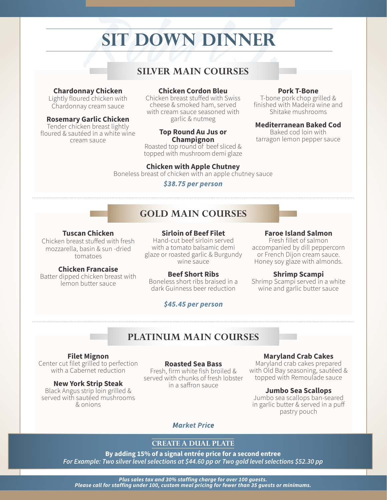# **SIT DOWN DINNER**

# **SILVER MAIN COURSES**

#### **Chardonnay Chicken**

Lightly floured chicken with Chardonnay cream sauce

#### **Rosemary Garlic Chicken**

Tender chicken breast lightly floured & sautéed in a white wine cream sauce

#### **Chicken Cordon Bleu**

SILVER MAIN COURSES<br>
SILVER MAIN COURSES<br>
I chicken<br>
Chicken Cordon Bleu<br>
Chicken breast stuffed with Swiss<br>
Cream sauce<br>
with cream sauce seasoned with<br>
Shit Chicken breast stuffed with Swiss cheese & smoked ham, served with cream sauce seasoned with garlic & nutmeg

#### **Top Round Au Jus or Champignon**

Roasted top round of beef sliced & topped with mushroom demi glaze

#### **Pork T-Bone**

T-bone pork chop grilled & finished with Madeira wine and Shitake mushrooms

#### **Mediterranean Baked Cod**

Baked cod loin with tarragon lemon pepper sauce

### **Chicken with Apple Chutney**

Boneless breast of chicken with an apple chutney sauce

#### *\$38.75 per person*

# **GOLD MAIN COURSES**

#### **Tuscan Chicken**

Chicken breast stuffed with fresh mozzarella, basin & sun -dried tomatoes

#### **Chicken Francaise**

Batter dipped chicken breast with lemon butter sauce

**Sirloin of Beef Filet** Hand-cut beef sirloin served with a tomato balsamic demi glaze or roasted garlic & Burgundy wine sauce

#### **Beef Short Ribs**

Boneless short ribs braised in a dark Guinness beer reduction

### *\$45.45 per person*

#### **Faroe Island Salmon**

Fresh fillet of salmon accompanied by dill peppercorn or French Dijon cream sauce. Honey soy glaze with almonds.

#### **Shrimp Scampi**

Shrimp Scampi served in a white wine and garlic butter sauce

# **PLATINUM MAIN COURSES**

**Filet Mignon** Center cut filet grilled to perfection with a Cabernet reduction

**New York Strip Steak** Black Angus strip loin grilled & served with sautéed mushrooms & onions

#### **Roasted Sea Bass**

Fresh, firm white fish broiled & served with chunks of fresh lobster in a saffron sauce

#### **Maryland Crab Cakes**

Maryland crab cakes prepared with Old Bay seasoning, sautéed & topped with Remoulade sauce

#### **Jumbo Sea Scallops**

Jumbo sea scallops ban-seared in garlic butter & served in a puff pastry pouch

#### *Market Price*

#### **CREATE A DUAL PLATE**

**By adding 15% of a signal entrée price for a second entree** *For Example: Two silver level selections at \$44.60 pp or Two gold level selections \$52.30 pp*

*Plus sales tax and 30% staffing charge for over 100 guests. Please call for staffing under 100, custom meal pricing for fewer than 35 guests or minimums.*